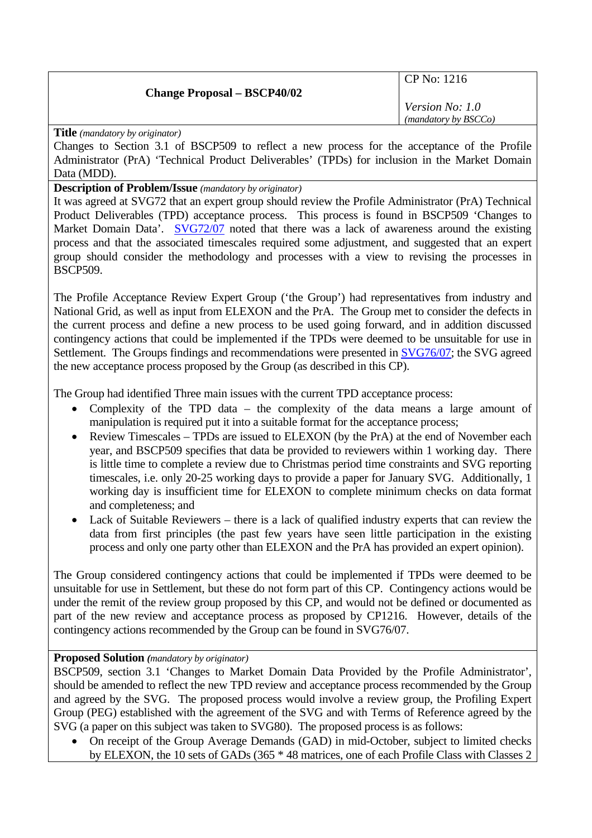## **Change Proposal – BSCP40/02**

CP No: 1216

*Version No: 1.0 (mandatory by BSCCo)*

**Title** *(mandatory by originator)* 

Changes to Section 3.1 of BSCP509 to reflect a new process for the acceptance of the Profile Administrator (PrA) 'Technical Product Deliverables' (TPDs) for inclusion in the Market Domain Data (MDD).

## **Description of Problem/Issue** *(mandatory by originator)*

It was agreed at SVG72 that an expert group should review the Profile Administrator (PrA) Technical Product Deliverables (TPD) acceptance process. This process is found in BSCP509 'Changes to Market Domain Data'. [SVG72/07](http://www.elexon.co.uk/documents/BSC_Panel_and_Panel_Committees/SVG_Meeting_2007_-_072_-_Papers/SVG72_07_v1.0.pdf) noted that there was a lack of awareness around the existing process and that the associated timescales required some adjustment, and suggested that an expert group should consider the methodology and processes with a view to revising the processes in BSCP509.

The Profile Acceptance Review Expert Group ('the Group') had representatives from industry and National Grid, as well as input from ELEXON and the PrA. The Group met to consider the defects in the current process and define a new process to be used going forward, and in addition discussed contingency actions that could be implemented if the TPDs were deemed to be unsuitable for use in Settlement. The Groups findings and recommendations were presented in [SVG76/07](http://www.elexon.co.uk/documents/BSC_Panel_and_Panel_Committees/SVG_Meeting_2007_-_076_-_Papers/SVG76_07_v1.0.pdf); the SVG agreed the new acceptance process proposed by the Group (as described in this CP).

The Group had identified Three main issues with the current TPD acceptance process:

- Complexity of the TPD data the complexity of the data means a large amount of manipulation is required put it into a suitable format for the acceptance process;
- Review Timescales TPDs are issued to ELEXON (by the PrA) at the end of November each year, and BSCP509 specifies that data be provided to reviewers within 1 working day. There is little time to complete a review due to Christmas period time constraints and SVG reporting timescales, i.e. only 20-25 working days to provide a paper for January SVG. Additionally, 1 working day is insufficient time for ELEXON to complete minimum checks on data format and completeness; and
- Lack of Suitable Reviewers there is a lack of qualified industry experts that can review the data from first principles (the past few years have seen little participation in the existing process and only one party other than ELEXON and the PrA has provided an expert opinion).

The Group considered contingency actions that could be implemented if TPDs were deemed to be unsuitable for use in Settlement, but these do not form part of this CP. Contingency actions would be under the remit of the review group proposed by this CP, and would not be defined or documented as part of the new review and acceptance process as proposed by CP1216. However, details of the contingency actions recommended by the Group can be found in SVG76/07.

## **Proposed Solution** *(mandatory by originator)*

BSCP509, section 3.1 'Changes to Market Domain Data Provided by the Profile Administrator', should be amended to reflect the new TPD review and acceptance process recommended by the Group and agreed by the SVG. The proposed process would involve a review group, the Profiling Expert Group (PEG) established with the agreement of the SVG and with Terms of Reference agreed by the SVG (a paper on this subject was taken to SVG80). The proposed process is as follows:

• On receipt of the Group Average Demands (GAD) in mid-October, subject to limited checks by ELEXON, the 10 sets of GADs (365 \* 48 matrices, one of each Profile Class with Classes 2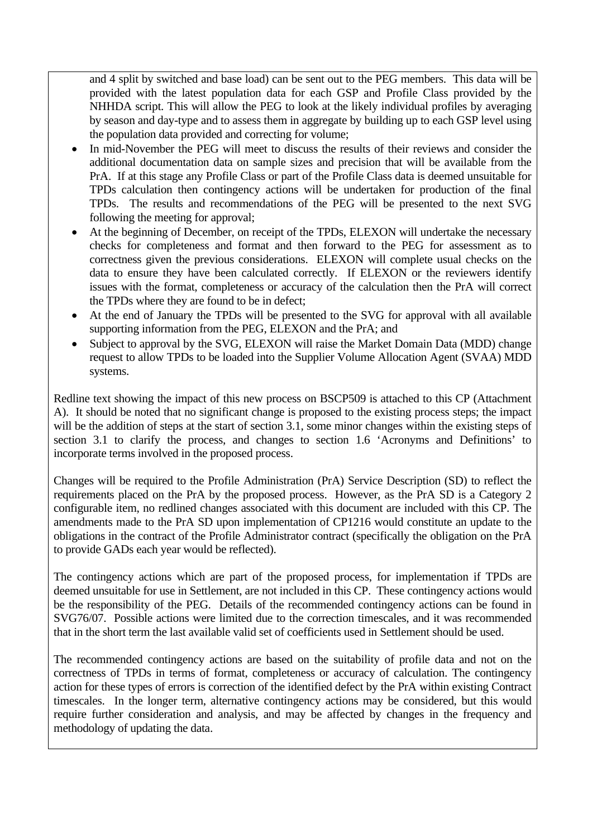and 4 split by switched and base load) can be sent out to the PEG members. This data will be provided with the latest population data for each GSP and Profile Class provided by the NHHDA script. This will allow the PEG to look at the likely individual profiles by averaging by season and day-type and to assess them in aggregate by building up to each GSP level using the population data provided and correcting for volume;

- In mid-November the PEG will meet to discuss the results of their reviews and consider the additional documentation data on sample sizes and precision that will be available from the PrA. If at this stage any Profile Class or part of the Profile Class data is deemed unsuitable for TPDs calculation then contingency actions will be undertaken for production of the final TPDs. The results and recommendations of the PEG will be presented to the next SVG following the meeting for approval;
- At the beginning of December, on receipt of the TPDs, ELEXON will undertake the necessary checks for completeness and format and then forward to the PEG for assessment as to correctness given the previous considerations. ELEXON will complete usual checks on the data to ensure they have been calculated correctly. If ELEXON or the reviewers identify issues with the format, completeness or accuracy of the calculation then the PrA will correct the TPDs where they are found to be in defect;
- At the end of January the TPDs will be presented to the SVG for approval with all available supporting information from the PEG, ELEXON and the PrA; and
- Subject to approval by the SVG, ELEXON will raise the Market Domain Data (MDD) change request to allow TPDs to be loaded into the Supplier Volume Allocation Agent (SVAA) MDD systems.

Redline text showing the impact of this new process on BSCP509 is attached to this CP (Attachment A). It should be noted that no significant change is proposed to the existing process steps; the impact will be the addition of steps at the start of section 3.1, some minor changes within the existing steps of section 3.1 to clarify the process, and changes to section 1.6 'Acronyms and Definitions' to incorporate terms involved in the proposed process.

Changes will be required to the Profile Administration (PrA) Service Description (SD) to reflect the requirements placed on the PrA by the proposed process. However, as the PrA SD is a Category 2 configurable item, no redlined changes associated with this document are included with this CP. The amendments made to the PrA SD upon implementation of CP1216 would constitute an update to the obligations in the contract of the Profile Administrator contract (specifically the obligation on the PrA to provide GADs each year would be reflected).

The contingency actions which are part of the proposed process, for implementation if TPDs are deemed unsuitable for use in Settlement, are not included in this CP. These contingency actions would be the responsibility of the PEG. Details of the recommended contingency actions can be found in SVG76/07. Possible actions were limited due to the correction timescales, and it was recommended that in the short term the last available valid set of coefficients used in Settlement should be used.

The recommended contingency actions are based on the suitability of profile data and not on the correctness of TPDs in terms of format, completeness or accuracy of calculation. The contingency action for these types of errors is correction of the identified defect by the PrA within existing Contract timescales. In the longer term, alternative contingency actions may be considered, but this would require further consideration and analysis, and may be affected by changes in the frequency and methodology of updating the data.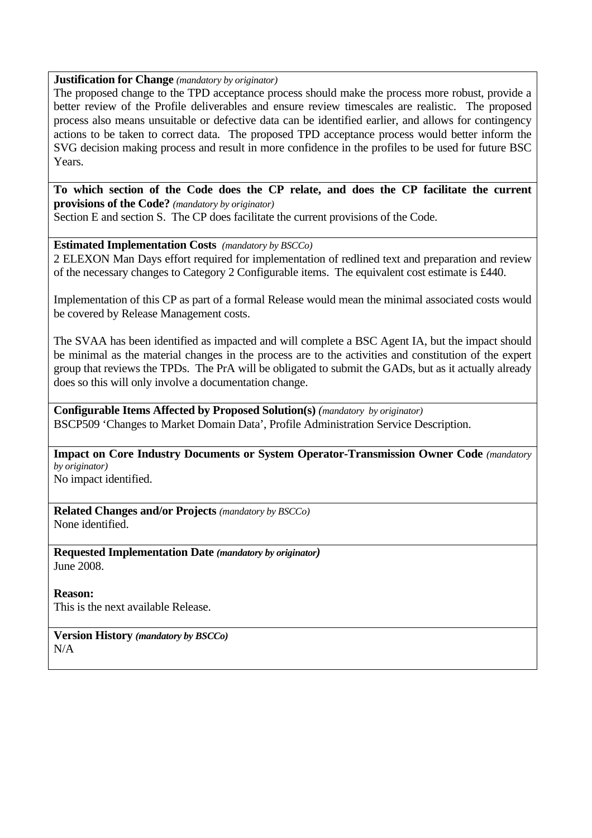## **Justification for Change** *(mandatory by originator)*

The proposed change to the TPD acceptance process should make the process more robust, provide a better review of the Profile deliverables and ensure review timescales are realistic. The proposed process also means unsuitable or defective data can be identified earlier, and allows for contingency actions to be taken to correct data. The proposed TPD acceptance process would better inform the SVG decision making process and result in more confidence in the profiles to be used for future BSC Years.

**To which section of the Code does the CP relate, and does the CP facilitate the current provisions of the Code?** *(mandatory by originator)*  Section E and section S. The CP does facilitate the current provisions of the Code.

**Estimated Implementation Costs** *(mandatory by BSCCo)* 

2 ELEXON Man Days effort required for implementation of redlined text and preparation and review of the necessary changes to Category 2 Configurable items. The equivalent cost estimate is £440.

Implementation of this CP as part of a formal Release would mean the minimal associated costs would be covered by Release Management costs.

The SVAA has been identified as impacted and will complete a BSC Agent IA, but the impact should be minimal as the material changes in the process are to the activities and constitution of the expert group that reviews the TPDs. The PrA will be obligated to submit the GADs, but as it actually already does so this will only involve a documentation change.

**Configurable Items Affected by Proposed Solution(s)** *(mandatory by originator)*  BSCP509 'Changes to Market Domain Data', Profile Administration Service Description.

**Impact on Core Industry Documents or System Operator-Transmission Owner Code** *(mandatory by originator)* 

No impact identified.

**Related Changes and/or Projects** *(mandatory by BSCCo)*  None identified.

**Requested Implementation Date** *(mandatory by originator)*  June 2008.

**Reason:** 

This is the next available Release.

**Version History** *(mandatory by BSCCo)*  N/A